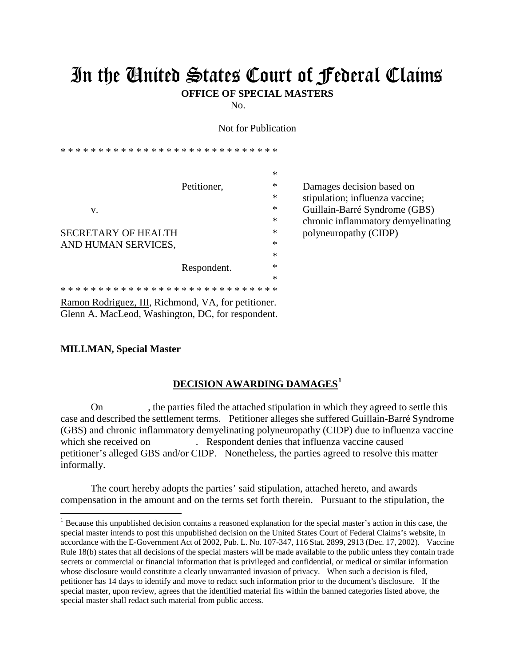## In the United States Court of Federal Claims

**OFFICE OF SPECIAL MASTERS**

No.

Not for Publication

\* \* \* \* \* \* \* \* \* \* \* \* \* \* \* \* \* \* \* \* \* \* \* \* \* \* \* \* \* \* Petitioner,  $*$  Damages decision based on \* stipulation; influenza vaccine; v. **Example 2018** v. **Example 2018** v. **Example 2018** v. **Callidatin-Barré Syndrome (GBS)** \* chronic inflammatory demyelinating SECRETARY OF HEALTH  $*$  polyneuropathy (CIDP) AND HUMAN SERVICES, \* Respondent.  $*$ \* \* \* \* \* \* \* \* \* \* \* \* \* \* \* \* \* \* \* \* \* \* \* \* \* \* \* \* \* \*

Ramon Rodriguez, III, Richmond, VA, for petitioner. Glenn A. MacLeod, Washington, DC, for respondent.

## **MILLMAN, Special Master**

 $\overline{a}$ 

## **DECISION AWARDING DAMAGES[1](#page-0-0)**

On , the parties filed the attached stipulation in which they agreed to settle this case and described the settlement terms. Petitioner alleges she suffered Guillain-Barré Syndrome (GBS) and chronic inflammatory demyelinating polyneuropathy (CIDP) due to influenza vaccine which she received on . Respondent denies that influenza vaccine caused petitioner's alleged GBS and/or CIDP. Nonetheless, the parties agreed to resolve this matter informally.

The court hereby adopts the parties' said stipulation, attached hereto, and awards compensation in the amount and on the terms set forth therein. Pursuant to the stipulation, the

<span id="page-0-0"></span><sup>&</sup>lt;sup>1</sup> Because this unpublished decision contains a reasoned explanation for the special master's action in this case, the special master intends to post this unpublished decision on the United States Court of Federal Claims's website, in accordance with the E-Government Act of 2002, Pub. L. No. 107-347, 116 Stat. 2899, 2913 (Dec. 17, 2002). Vaccine Rule 18(b) states that all decisions of the special masters will be made available to the public unless they contain trade secrets or commercial or financial information that is privileged and confidential, or medical or similar information whose disclosure would constitute a clearly unwarranted invasion of privacy. When such a decision is filed, petitioner has 14 days to identify and move to redact such information prior to the document's disclosure. If the special master, upon review, agrees that the identified material fits within the banned categories listed above, the special master shall redact such material from public access.